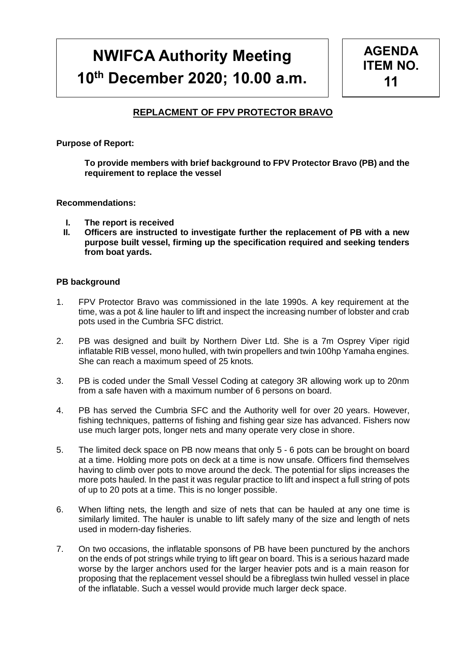# **NWIFCA Authority Meeting 10th December 2020; 10.00 a.m.**



# **REPLACMENT OF FPV PROTECTOR BRAVO**

**Purpose of Report:** 

**To provide members with brief background to FPV Protector Bravo (PB) and the requirement to replace the vessel**

#### **Recommendations:**

- **I. The report is received**
- **II. Officers are instructed to investigate further the replacement of PB with a new purpose built vessel, firming up the specification required and seeking tenders from boat yards.**

#### **PB background**

- 1. FPV Protector Bravo was commissioned in the late 1990s. A key requirement at the time, was a pot & line hauler to lift and inspect the increasing number of lobster and crab pots used in the Cumbria SFC district.
- 2. PB was designed and built by Northern Diver Ltd. She is a 7m Osprey Viper rigid inflatable RIB vessel, mono hulled, with twin propellers and twin 100hp Yamaha engines. She can reach a maximum speed of 25 knots.
- 3. PB is coded under the Small Vessel Coding at category 3R allowing work up to 20nm from a safe haven with a maximum number of 6 persons on board.
- 4. PB has served the Cumbria SFC and the Authority well for over 20 years. However, fishing techniques, patterns of fishing and fishing gear size has advanced. Fishers now use much larger pots, longer nets and many operate very close in shore.
- 5. The limited deck space on PB now means that only 5 6 pots can be brought on board at a time. Holding more pots on deck at a time is now unsafe. Officers find themselves having to climb over pots to move around the deck. The potential for slips increases the more pots hauled. In the past it was regular practice to lift and inspect a full string of pots of up to 20 pots at a time. This is no longer possible.
- 6. When lifting nets, the length and size of nets that can be hauled at any one time is similarly limited. The hauler is unable to lift safely many of the size and length of nets used in modern-day fisheries.
- 7. On two occasions, the inflatable sponsons of PB have been punctured by the anchors on the ends of pot strings while trying to lift gear on board. This is a serious hazard made worse by the larger anchors used for the larger heavier pots and is a main reason for proposing that the replacement vessel should be a fibreglass twin hulled vessel in place of the inflatable. Such a vessel would provide much larger deck space.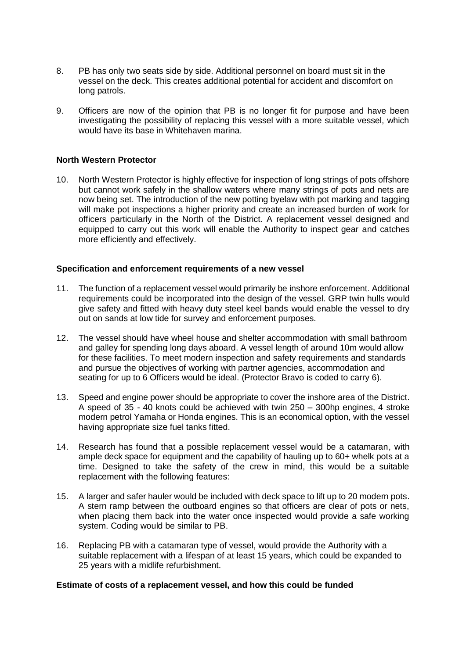- 8. PB has only two seats side by side. Additional personnel on board must sit in the vessel on the deck. This creates additional potential for accident and discomfort on long patrols.
- 9. Officers are now of the opinion that PB is no longer fit for purpose and have been investigating the possibility of replacing this vessel with a more suitable vessel, which would have its base in Whitehaven marina.

### **North Western Protector**

10. North Western Protector is highly effective for inspection of long strings of pots offshore but cannot work safely in the shallow waters where many strings of pots and nets are now being set. The introduction of the new potting byelaw with pot marking and tagging will make pot inspections a higher priority and create an increased burden of work for officers particularly in the North of the District. A replacement vessel designed and equipped to carry out this work will enable the Authority to inspect gear and catches more efficiently and effectively.

#### **Specification and enforcement requirements of a new vessel**

- 11. The function of a replacement vessel would primarily be inshore enforcement. Additional requirements could be incorporated into the design of the vessel. GRP twin hulls would give safety and fitted with heavy duty steel keel bands would enable the vessel to dry out on sands at low tide for survey and enforcement purposes.
- 12. The vessel should have wheel house and shelter accommodation with small bathroom and galley for spending long days aboard. A vessel length of around 10m would allow for these facilities. To meet modern inspection and safety requirements and standards and pursue the objectives of working with partner agencies, accommodation and seating for up to 6 Officers would be ideal. (Protector Bravo is coded to carry 6).
- 13. Speed and engine power should be appropriate to cover the inshore area of the District. A speed of 35 - 40 knots could be achieved with twin 250 – 300hp engines, 4 stroke modern petrol Yamaha or Honda engines. This is an economical option, with the vessel having appropriate size fuel tanks fitted.
- 14. Research has found that a possible replacement vessel would be a catamaran, with ample deck space for equipment and the capability of hauling up to 60+ whelk pots at a time. Designed to take the safety of the crew in mind, this would be a suitable replacement with the following features:
- 15. A larger and safer hauler would be included with deck space to lift up to 20 modern pots. A stern ramp between the outboard engines so that officers are clear of pots or nets, when placing them back into the water once inspected would provide a safe working system. Coding would be similar to PB.
- 16. Replacing PB with a catamaran type of vessel, would provide the Authority with a suitable replacement with a lifespan of at least 15 years, which could be expanded to 25 years with a midlife refurbishment.

## **Estimate of costs of a replacement vessel, and how this could be funded**